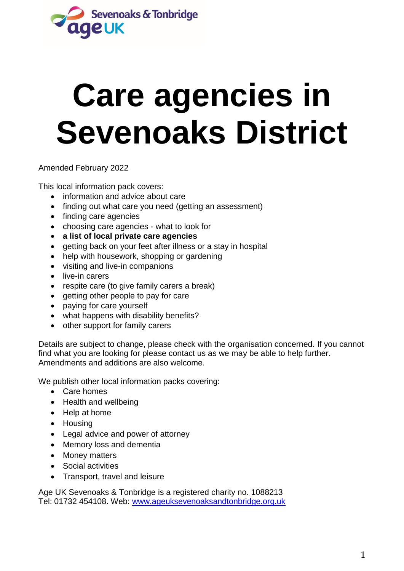

# **Care agencies in Sevenoaks District**

Amended February 2022

This local information pack covers:

- information and advice about care
- finding out what care you need (getting an assessment)
- finding care agencies
- choosing care agencies what to look for
- **a list of local private care agencies**
- getting back on your feet after illness or a stay in hospital
- help with housework, shopping or gardening
- visiting and live-in companions
- live-in carers
- respite care (to give family carers a break)
- getting other people to pay for care
- paying for care yourself
- what happens with disability benefits?
- other support for family carers

Details are subject to change, please check with the organisation concerned. If you cannot find what you are looking for please contact us as we may be able to help further. Amendments and additions are also welcome.

We publish other local information packs covering:

- Care homes
- Health and wellbeing
- Help at home
- Housing
- Legal advice and power of attorney
- Memory loss and dementia
- Money matters
- Social activities
- Transport, travel and leisure

Age UK Sevenoaks & Tonbridge is a registered charity no. 1088213 Tel: 01732 454108. Web: [www.ageuksevenoaksandtonbridge.org.uk](http://www.ageuksevenoaksandtonbridge.org.uk/)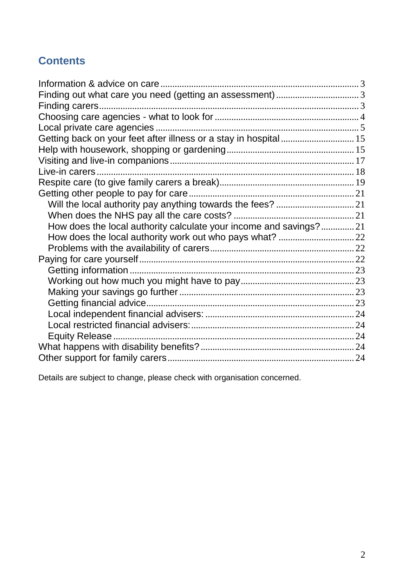# **Contents**

| Finding out what care you need (getting an assessment) 3          |  |
|-------------------------------------------------------------------|--|
|                                                                   |  |
|                                                                   |  |
|                                                                   |  |
|                                                                   |  |
|                                                                   |  |
|                                                                   |  |
|                                                                   |  |
|                                                                   |  |
|                                                                   |  |
|                                                                   |  |
|                                                                   |  |
| How does the local authority calculate your income and savings?21 |  |
|                                                                   |  |
|                                                                   |  |
|                                                                   |  |
|                                                                   |  |
|                                                                   |  |
|                                                                   |  |
|                                                                   |  |
|                                                                   |  |
|                                                                   |  |
|                                                                   |  |
|                                                                   |  |
|                                                                   |  |
|                                                                   |  |

Details are subject to change, please check with organisation concerned.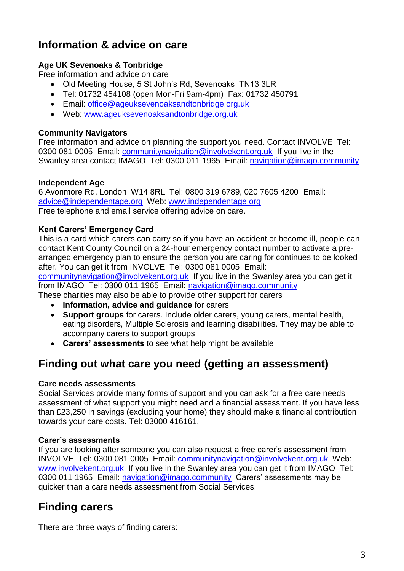# <span id="page-2-0"></span>**Information & advice on care**

## **Age UK Sevenoaks & Tonbridge**

Free information and advice on care

- Old Meeting House, 5 St John's Rd, Sevenoaks TN13 3LR
- Tel: 01732 454108 (open Mon-Fri 9am-4pm) Fax: 01732 450791
- Email: [office@ageuksevenoaksandtonbridge.org.uk](mailto:office@ageuksevenoaksandtonbridge.org.uk)
- Web: [www.ageuksevenoaksandtonbridge.org.uk](http://www.ageuksevenoaksandtonbridge.org.uk/)

#### **Community Navigators**

Free information and advice on planning the support you need. Contact INVOLVE Tel: 0300 081 0005 Email: communitynavigation@involvekent.org.uk If you live in the Swanley area contact IMAGO Tel: 0300 011 1965 Email: navigation@imago.community

#### **Independent Age**

6 Avonmore Rd, London W14 8RL Tel: 0800 319 6789, 020 7605 4200 Email: [advice@independentage.org](mailto:advice@independentage.org) Web: [www.independentage.org](http://www.independentage.org/) Free telephone and email service offering advice on care.

## **Kent Carers' Emergency Card**

This is a card which carers can carry so if you have an accident or become ill, people can contact Kent County Council on a 24-hour emergency contact number to activate a prearranged emergency plan to ensure the person you are caring for continues to be looked after. You can get it from INVOLVE Tel: 0300 081 0005 Email:

communitynavigation@involvekent.org.uk If you live in the Swanley area you can get it from IMAGO Tel: 0300 011 1965 Email: navigation@imago.community

These charities may also be able to provide other support for carers

- **Information, advice and guidance** for carers
- **Support groups** for carers. Include older carers, young carers, mental health, eating disorders, Multiple Sclerosis and learning disabilities. They may be able to accompany carers to support groups
- **Carers' assessments** to see what help might be available

# <span id="page-2-1"></span>**Finding out what care you need (getting an assessment)**

#### **Care needs assessments**

Social Services provide many forms of support and you can ask for a free care needs assessment of what support you might need and a financial assessment. If you have less than £23,250 in savings (excluding your home) they should make a financial contribution towards your care costs. Tel: 03000 416161.

#### **Carer's assessments**

If you are looking after someone you can also request a free carer's assessment from INVOLVE Tel: 0300 081 0005 Email: [communitynavigation@involvekent.org.uk](mailto:communitynavigation@involvekent.org.uk) Web: [www.involvekent.org.uk](http://www.involvekent.org.uk/) If you live in the Swanley area you can get it from IMAGO Tel: 0300 011 1965 Email: [navigation@imago.community](mailto:navigation@imago.community) Carers' assessments may be quicker than a care needs assessment from Social Services.

# <span id="page-2-2"></span>**Finding carers**

There are three ways of finding carers: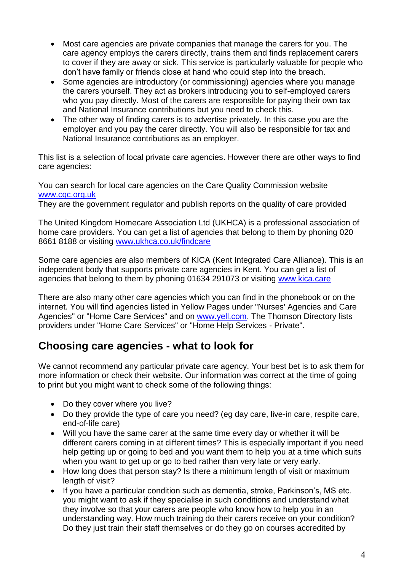- Most care agencies are private companies that manage the carers for you. The care agency employs the carers directly, trains them and finds replacement carers to cover if they are away or sick. This service is particularly valuable for people who don't have family or friends close at hand who could step into the breach.
- Some agencies are introductory (or commissioning) agencies where you manage the carers yourself. They act as brokers introducing you to self-employed carers who you pay directly. Most of the carers are responsible for paying their own tax and National Insurance contributions but you need to check this.
- The other way of finding carers is to advertise privately. In this case you are the employer and you pay the carer directly. You will also be responsible for tax and National Insurance contributions as an employer.

This list is a selection of local private care agencies. However there are other ways to find care agencies:

You can search for local care agencies on the Care Quality Commission website www.cqc.org.uk

They are the government regulator and publish reports on the quality of care provided

The United Kingdom Homecare Association Ltd (UKHCA) is a professional association of home care providers. You can get a list of agencies that belong to them by phoning 020 8661 8188 or visiting www.ukhca.co.uk/findcare

Some care agencies are also members of KICA (Kent Integrated Care Alliance). This is an independent body that supports private care agencies in Kent. You can get a list of agencies that belong to them by phoning 01634 291073 or visiting [www.kica.care](http://www.kica.care/)

There are also many other care agencies which you can find in the phonebook or on the internet. You will find agencies listed in Yellow Pages under "Nurses' Agencies and Care Agencies" or "Home Care Services" and on [www.yell.com.](http://www.yell.com/) The Thomson Directory lists providers under "Home Care Services" or "Home Help Services - Private".

# <span id="page-3-0"></span>**Choosing care agencies - what to look for**

We cannot recommend any particular private care agency. Your best bet is to ask them for more information or check their website. Our information was correct at the time of going to print but you might want to check some of the following things:

- Do they cover where you live?
- Do they provide the type of care you need? (eg day care, live-in care, respite care, end-of-life care)
- Will you have the same carer at the same time every day or whether it will be different carers coming in at different times? This is especially important if you need help getting up or going to bed and you want them to help you at a time which suits when you want to get up or go to bed rather than very late or very early.
- How long does that person stay? Is there a minimum length of visit or maximum length of visit?
- If you have a particular condition such as dementia, stroke, Parkinson's, MS etc. you might want to ask if they specialise in such conditions and understand what they involve so that your carers are people who know how to help you in an understanding way. How much training do their carers receive on your condition? Do they just train their staff themselves or do they go on courses accredited by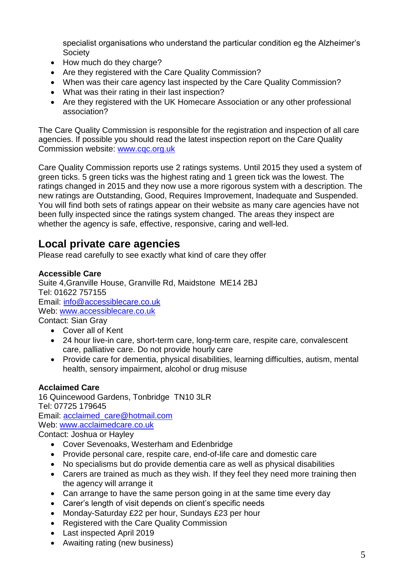specialist organisations who understand the particular condition eg the Alzheimer's **Society** 

- How much do they charge?
- Are they registered with the Care Quality Commission?
- When was their care agency last inspected by the Care Quality Commission?
- What was their rating in their last inspection?
- Are they registered with the UK Homecare Association or any other professional association?

The Care Quality Commission is responsible for the registration and inspection of all care agencies. If possible you should read the latest inspection report on the Care Quality Commission website: [www.cqc.org.uk](http://www.cqc.org.uk/)

Care Quality Commission reports use 2 ratings systems. Until 2015 they used a system of green ticks. 5 green ticks was the highest rating and 1 green tick was the lowest. The ratings changed in 2015 and they now use a more rigorous system with a description. The new ratings are Outstanding, Good, Requires Improvement, Inadequate and Suspended. You will find both sets of ratings appear on their website as many care agencies have not been fully inspected since the ratings system changed. The areas they inspect are whether the agency is safe, effective, responsive, caring and well-led.

# <span id="page-4-0"></span>**Local private care agencies**

Please read carefully to see exactly what kind of care they offer

## **Accessible Care**

Suite 4,Granville House, Granville Rd, Maidstone ME14 2BJ Tel: 01622 757155 Email: [info@accessiblecare.co.uk](mailto:info@accessiblecare.co.uk) Web: [www.accessiblecare.co.uk](http://www.accessiblecare.co.uk/) Contact: Sian Gray

Cover all of Kent

- 24 hour live-in care, short-term care, long-term care, respite care, convalescent care, palliative care. Do not provide hourly care
- Provide care for dementia, physical disabilities, learning difficulties, autism, mental health, sensory impairment, alcohol or drug misuse

# **Acclaimed Care**

16 Quincewood Gardens, Tonbridge TN10 3LR Tel: 07725 179645 Email: [acclaimed\\_care@hotmail.com](mailto:acclaimed_care@hotmail.com) Web: [www.acclaimedcare.co.uk](http://www.acclaimedcare.co.uk/) Contact: Joshua or Hayley

- Cover Sevenoaks, Westerham and Edenbridge
- Provide personal care, respite care, end-of-life care and domestic care
- No specialisms but do provide dementia care as well as physical disabilities
- Carers are trained as much as they wish. If they feel they need more training then the agency will arrange it
- Can arrange to have the same person going in at the same time every day
- Carer's length of visit depends on client's specific needs
- Monday-Saturday £22 per hour, Sundays £23 per hour
- Registered with the Care Quality Commission
- Last inspected April 2019
- Awaiting rating (new business)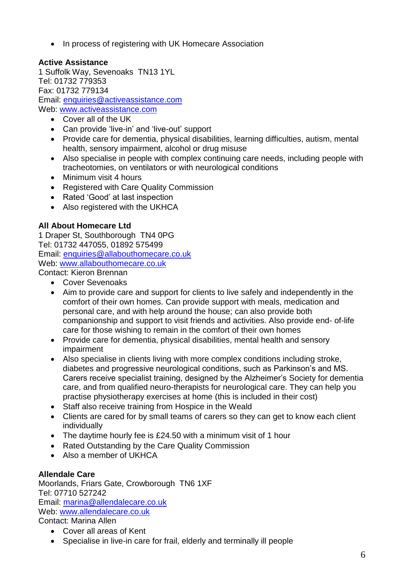• In process of registering with UK Homecare Association

# **Active Assistance**

1 Suffolk Way, Sevenoaks TN13 1YL Tel: 01732 779353 Fax: 01732 779134 Email: [enquiries@activeassistance.com](mailto:enquiries@activeassistance.com) Web: [www.activeassistance.com](http://www.activeassistance.com/)

- Cover all of the UK
- Can provide 'live-in' and 'live-out' support
- Provide care for dementia, physical disabilities, learning difficulties, autism, mental health, sensory impairment, alcohol or drug misuse
- Also specialise in people with complex continuing care needs, including people with tracheotomies, on ventilators or with neurological conditions
- Minimum visit 4 hours
- Registered with Care Quality Commission
- Rated 'Good' at last inspection
- Also registered with the UKHCA

## **All About Homecare Ltd**

1 Draper St, Southborough TN4 0PG Tel: 01732 447055, 01892 575499 Email: [enquiries@allabouthomecare.co.uk](mailto:enquiries@allabouthomecare.co.uk) Web: [www.allabouth](http://www.allabout/)omecare.co.uk Contact: Kieron Brennan

- Cover Sevenoaks
- Aim to provide care and support for clients to live safely and independently in the comfort of their own homes. Can provide support with meals, medication and personal care, and with help around the house; can also provide both companionship and support to visit friends and activities. Also provide end- of-life care for those wishing to remain in the comfort of their own homes
- Provide care for dementia, physical disabilities, mental health and sensory impairment
- Also specialise in clients living with more complex conditions including stroke, diabetes and progressive neurological conditions, such as Parkinson's and MS. Carers receive specialist training, designed by the Alzheimer's Society for dementia care, and from qualified neuro-therapists for neurological care. They can help you practise physiotherapy exercises at home (this is included in their cost)
- Staff also receive training from Hospice in the Weald
- Clients are cared for by small teams of carers so they can get to know each client individually
- The daytime hourly fee is £24.50 with a minimum visit of 1 hour
- Rated Outstanding by the Care Quality Commission
- Also a member of UKHCA

# **Allendale Care**

Moorlands, Friars Gate, Crowborough TN6 1XF Tel: 07710 527242 Email: [marina@allendalecare.co.uk](mailto:marina@allendalecare.co.uk) Web: [www.allendalecare.co.uk](http://www.allendalecare.co.uk/) Contact: Marina Allen

- Cover all areas of Kent
- Specialise in live-in care for frail, elderly and terminally ill people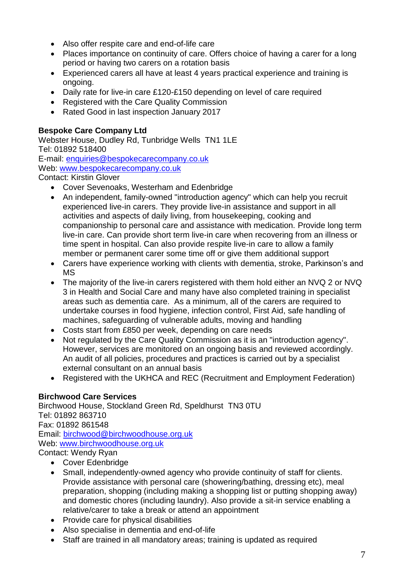- Also offer respite care and end-of-life care
- Places importance on continuity of care. Offers choice of having a carer for a long period or having two carers on a rotation basis
- Experienced carers all have at least 4 years practical experience and training is ongoing.
- Daily rate for live-in care £120-£150 depending on level of care required
- Registered with the Care Quality Commission
- Rated Good in last inspection January 2017

## **Bespoke Care Company Ltd**

Webster House, Dudley Rd, Tunbridge Wells TN1 1LE Tel: 01892 518400 E-mail: enquiries@bespokecarecompany.co.uk Web: [www.bespokecarecompany.co.uk](http://www.bespokecarecompany.co.uk/) Contact: Kirstin Glover

- Cover Sevenoaks, Westerham and Edenbridge
- An independent, family-owned "introduction agency" which can help you recruit experienced live-in carers. They provide live-in assistance and support in all activities and aspects of daily living, from housekeeping, cooking and companionship to personal care and assistance with medication. Provide long term live-in care. Can provide short term live-in care when recovering from an illness or time spent in hospital. Can also provide respite live-in care to allow a family member or permanent carer some time off or give them additional support
- Carers have experience working with clients with dementia, stroke, Parkinson's and MS
- The majority of the live-in carers registered with them hold either an NVQ 2 or NVQ 3 in Health and Social Care and many have also completed training in specialist areas such as dementia care. As a minimum, all of the carers are required to undertake courses in food hygiene, infection control, First Aid, safe handling of machines, safeguarding of vulnerable adults, moving and handling
- Costs start from £850 per week, depending on care needs
- Not regulated by the Care Quality Commission as it is an "introduction agency". However, services are monitored on an ongoing basis and reviewed accordingly. An audit of all policies, procedures and practices is carried out by a specialist external consultant on an annual basis
- Registered with the UKHCA and REC (Recruitment and Employment Federation)

#### **Birchwood Care Services**

Birchwood House, Stockland Green Rd, Speldhurst TN3 0TU Tel: 01892 863710 Fax: 01892 861548 Email: [birchwood@birchwoodhouse.org.uk](mailto:birchwood@birchwoodhouse.org.uk) Web: [www.birchwoodhouse.org.uk](http://www.birchwoodhouse.org.uk/) Contact: Wendy Ryan

- Cover Edenbridge
- Small, independently-owned agency who provide continuity of staff for clients. Provide assistance with personal care (showering/bathing, dressing etc), meal preparation, shopping (including making a shopping list or putting shopping away) and domestic chores (including laundry). Also provide a sit-in service enabling a relative/carer to take a break or attend an appointment
- Provide care for physical disabilities
- Also specialise in dementia and end-of-life
- Staff are trained in all mandatory areas; training is updated as required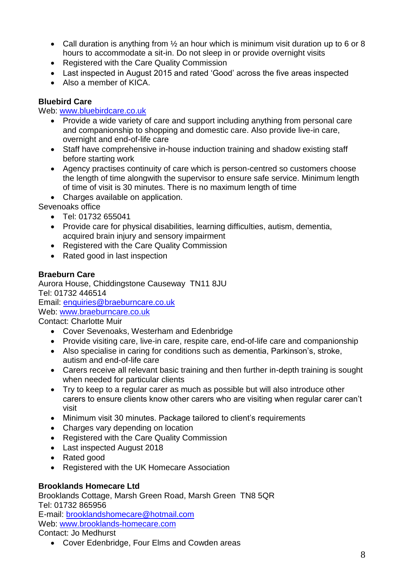- Call duration is anything from  $\frac{1}{2}$  an hour which is minimum visit duration up to 6 or 8 hours to accommodate a sit-in. Do not sleep in or provide overnight visits
- Registered with the Care Quality Commission
- Last inspected in August 2015 and rated 'Good' across the five areas inspected
- Also a member of KICA.

## **Bluebird Care**

#### Web: [www.bluebirdcare.co.uk](http://www.bluebirdcare.co.uk/)

- Provide a wide variety of care and support including anything from personal care and companionship to shopping and domestic care. Also provide live-in care, overnight and end-of-life care
- Staff have comprehensive in-house induction training and shadow existing staff before starting work
- Agency practises continuity of care which is person-centred so customers choose the length of time alongwith the supervisor to ensure safe service. Minimum length of time of visit is 30 minutes. There is no maximum length of time
- Charges available on application.

Sevenoaks office

- Tel: 01732 655041
- Provide care for physical disabilities, learning difficulties, autism, dementia, acquired brain injury and sensory impairment
- Registered with the Care Quality Commission
- Rated good in last inspection

#### **Braeburn Care**

Aurora House, Chiddingstone Causeway TN11 8JU Tel: 01732 446514 Email: [enquiries@braeburncare.co.uk](mailto:enquiries@braeburncare.co.uk) Web: [www.braeburncare.co.uk](http://www.braeburncare.co.uk/)

Contact: Charlotte Muir

- Cover Sevenoaks, Westerham and Edenbridge
- Provide visiting care, live-in care, respite care, end-of-life care and companionship
- Also specialise in caring for conditions such as dementia, Parkinson's, stroke, autism and end-of-life care
- Carers receive all relevant basic training and then further in-depth training is sought when needed for particular clients
- Try to keep to a regular carer as much as possible but will also introduce other carers to ensure clients know other carers who are visiting when regular carer can't visit
- Minimum visit 30 minutes. Package tailored to client's requirements
- Charges vary depending on location
- Registered with the Care Quality Commission
- Last inspected August 2018
- Rated good
- Registered with the UK Homecare Association

#### **Brooklands Homecare Ltd**

Brooklands Cottage, Marsh Green Road, Marsh Green TN8 5QR Tel: 01732 865956 E-mail: [brooklandshomecare@hotmail.com](mailto:brooklandshomecare@hotmail.com) Web: [www.brooklands-homecare.com](http://www.brooklands-homecare.com/) Contact: Jo Medhurst

Cover Edenbridge, Four Elms and Cowden areas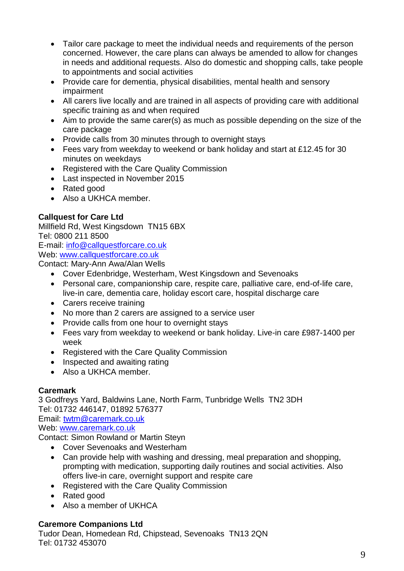- Tailor care package to meet the individual needs and requirements of the person concerned. However, the care plans can always be amended to allow for changes in needs and additional requests. Also do domestic and shopping calls, take people to appointments and social activities
- Provide care for dementia, physical disabilities, mental health and sensory impairment
- All carers live locally and are trained in all aspects of providing care with additional specific training as and when required
- Aim to provide the same carer(s) as much as possible depending on the size of the care package
- Provide calls from 30 minutes through to overnight stays
- Fees vary from weekday to weekend or bank holiday and start at £12.45 for 30 minutes on weekdays
- Registered with the Care Quality Commission
- Last inspected in November 2015
- Rated good
- Also a UKHCA member.

# **Callquest for Care Ltd**

Millfield Rd, West Kingsdown TN15 6BX Tel: 0800 211 8500 E-mail: info@callquestforcare.co.uk

Web: www.callquestforcare.co.uk

Contact: Mary-Ann Awa/Alan Wells

- Cover Edenbridge, Westerham, West Kingsdown and Sevenoaks
- Personal care, companionship care, respite care, palliative care, end-of-life care, live-in care, dementia care, holiday escort care, hospital discharge care
- Carers receive training
- No more than 2 carers are assigned to a service user
- Provide calls from one hour to overnight stays
- Fees vary from weekday to weekend or bank holiday. Live-in care £987-1400 per week
- Registered with the Care Quality Commission
- Inspected and awaiting rating
- Also a UKHCA member.

# **Caremark**

3 Godfreys Yard, Baldwins Lane, North Farm, Tunbridge Wells TN2 3DH Tel: 01732 446147, 01892 576377

Email: [twtm@caremark.co.uk](mailto:enquiries@allabouthomecare.co.uk)

Web: www.caremark.co.uk

Contact: Simon Rowland or Martin Steyn

- Cover Sevenoaks and Westerham
- Can provide help with washing and dressing, meal preparation and shopping, prompting with medication, supporting daily routines and social activities. Also offers live-in care, overnight support and respite care
- Registered with the Care Quality Commission
- Rated good
- Also a member of UKHCA

# **Caremore Companions Ltd**

Tudor Dean, Homedean Rd, Chipstead, Sevenoaks TN13 2QN Tel: 01732 453070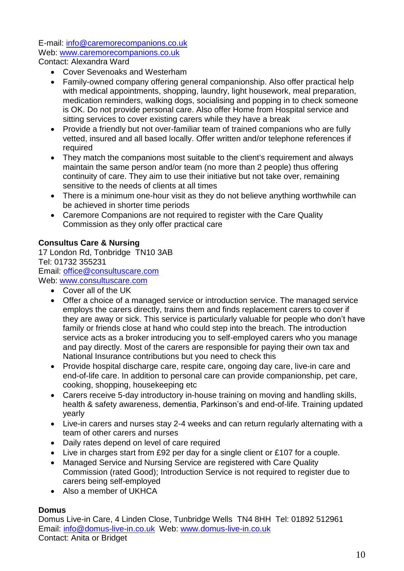E-mail: info@caremorecompanions.co.uk Web: [www.caremorecompanions.co.uk](http://www.caremorecompanions.co.uk/) Contact: Alexandra Ward

- Cover Sevenoaks and Westerham
- Family-owned company offering general companionship. Also offer practical help with medical appointments, shopping, laundry, light housework, meal preparation, medication reminders, walking dogs, socialising and popping in to check someone is OK. Do not provide personal care. Also offer Home from Hospital service and sitting services to cover existing carers while they have a break
- Provide a friendly but not over-familiar team of trained companions who are fully vetted, insured and all based locally. Offer written and/or telephone references if required
- They match the companions most suitable to the client's requirement and always maintain the same person and/or team (no more than 2 people) thus offering continuity of care. They aim to use their initiative but not take over, remaining sensitive to the needs of clients at all times
- There is a minimum one-hour visit as they do not believe anything worthwhile can be achieved in shorter time periods
- Caremore Companions are not required to register with the Care Quality Commission as they only offer practical care

# **Consultus Care & Nursing**

17 London Rd, Tonbridge TN10 3AB Tel: 01732 355231 Email: [office@consultuscare.com](mailto:office@consultuscare.com) Web: [www.consultuscare.com](http://www.consultuscare.com/)

- Cover all of the UK
- Offer a choice of a managed service or introduction service. The managed service employs the carers directly, trains them and finds replacement carers to cover if they are away or sick. This service is particularly valuable for people who don't have family or friends close at hand who could step into the breach. The introduction service acts as a broker introducing you to self-employed carers who you manage and pay directly. Most of the carers are responsible for paying their own tax and National Insurance contributions but you need to check this
- Provide hospital discharge care, respite care, ongoing day care, live-in care and end-of-life care. In addition to personal care can provide companionship, pet care, cooking, shopping, housekeeping etc
- Carers receive 5-day introductory in-house training on moving and handling skills, health & safety awareness, dementia, Parkinson's and end-of-life. Training updated yearly
- Live-in carers and nurses stay 2-4 weeks and can return regularly alternating with a team of other carers and nurses
- Daily rates depend on level of care required
- Live in charges start from £92 per day for a single client or £107 for a couple.
- Managed Service and Nursing Service are registered with Care Quality Commission (rated Good); Introduction Service is not required to register due to carers being self-employed
- Also a member of UKHCA

# **Domus**

Domus Live-in Care, 4 Linden Close, Tunbridge Wells TN4 8HH Tel: 01892 512961 Email: [info@domus-live-in.co.uk](mailto:info@domus-live-in.co.uk) Web: [www.domus-live-in.co.uk](http://www.domus-live-in.co.uk/) Contact: Anita or Bridget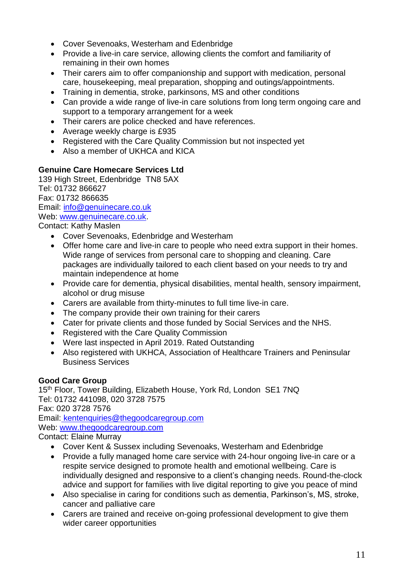- Cover Sevenoaks, Westerham and Edenbridge
- Provide a live-in care service, allowing clients the comfort and familiarity of remaining in their own homes
- Their carers aim to offer companionship and support with medication, personal care, housekeeping, meal preparation, shopping and outings/appointments.
- Training in dementia, stroke, parkinsons, MS and other conditions
- Can provide a wide range of live-in care solutions from long term ongoing care and support to a temporary arrangement for a week
- Their carers are police checked and have references.
- Average weekly charge is £935
- Registered with the Care Quality Commission but not inspected yet
- Also a member of UKHCA and KICA

#### **Genuine Care Homecare Services Ltd**

139 High Street, Edenbridge TN8 5AX Tel: 01732 866627 Fax: 01732 866635 Email: [info@genuinecare.co.uk](mailto:info@genuinecare.co.uk) Web: [www.genuinecare.co.uk.](http://www.genuinecare.co.uk/)

Contact: Kathy Maslen

- Cover Sevenoaks, Edenbridge and Westerham
- Offer home care and live-in care to people who need extra support in their homes. Wide range of services from personal care to shopping and cleaning. Care packages are individually tailored to each client based on your needs to try and maintain independence at home
- Provide care for dementia, physical disabilities, mental health, sensory impairment, alcohol or drug misuse
- Carers are available from thirty-minutes to full time live-in care.
- The company provide their own training for their carers
- Cater for private clients and those funded by Social Services and the NHS.
- Registered with the Care Quality Commission
- Were last inspected in April 2019. Rated Outstanding
- Also registered with UKHCA, Association of Healthcare Trainers and Peninsular Business Services

# **Good Care Group**

15<sup>th</sup> Floor, Tower Building, Elizabeth House, York Rd, London SE1 7NQ Tel: 01732 441098, 020 3728 7575 Fax: 020 3728 7576 Email: [kentenquiries@thegoodcaregroup.com](mailto:kentenquiries@thegoodcaregroup.com) Web: [www.thegoodcaregroup.com](http://www.thegoodcaregroup.com/) Contact: Elaine Murray Cover Kent & Sussex including Sevenoaks, Westerham and Edenbridge

- Provide a fully managed home care service with 24-hour ongoing live-in care or a respite service designed to promote health and emotional wellbeing. Care is individually designed and responsive to a client's changing needs. Round-the-clock advice and support for families with live digital reporting to give you peace of mind
- Also specialise in caring for conditions such as dementia, Parkinson's, MS, stroke, cancer and palliative care
- Carers are trained and receive on-going professional development to give them wider career opportunities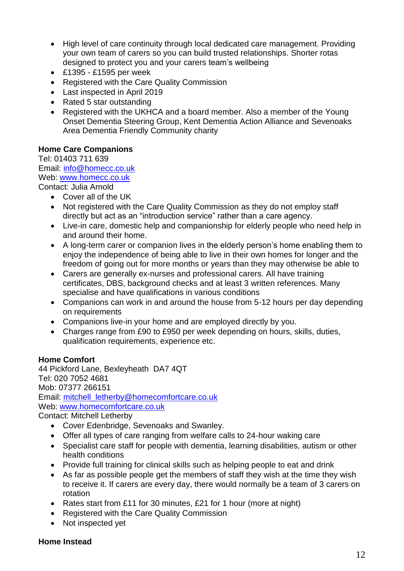- High level of care continuity through local dedicated care management. Providing your own team of carers so you can build trusted relationships. Shorter rotas designed to protect you and your carers team's wellbeing
- £1395 £1595 per week
- Registered with the Care Quality Commission
- Last inspected in April 2019
- Rated 5 star outstanding
- Registered with the UKHCA and a board member. Also a member of the Young Onset Dementia Steering Group, Kent Dementia Action Alliance and Sevenoaks Area Dementia Friendly Community charity

# **Home Care Companions**

Tel: 01403 711 639 Email: [info@homecc.co.uk](mailto:info@homecc.co.uk) Web: [www.homecc.co.uk](http://www.homecc.co.uk/) Contact: Julia Arnold

- Cover all of the UK
- Not registered with the Care Quality Commission as they do not employ staff directly but act as an "introduction service" rather than a care agency.
- Live-in care, domestic help and companionship for elderly people who need help in and around their home.
- A long-term carer or companion lives in the elderly person's home enabling them to enjoy the independence of being able to live in their own homes for longer and the freedom of going out for more months or years than they may otherwise be able to
- Carers are generally ex-nurses and professional carers. All have training certificates, DBS, background checks and at least 3 written references. Many specialise and have qualifications in various conditions
- Companions can work in and around the house from 5-12 hours per day depending on requirements
- Companions live-in your home and are employed directly by you.
- Charges range from £90 to £950 per week depending on hours, skills, duties, qualification requirements, experience etc.

# **Home Comfort**

44 Pickford Lane, Bexleyheath DA7 4QT Tel: 020 7052 4681 Mob: 07377 266151 Email: [mitchell\\_letherby@homecomfortcare.co.uk](mailto:mitchell_letherby@homecomfortcare.co.uk) Web: [www.homecomfortcare.co.uk](http://www.homecomfortcare.co.uk/) Contact: Mitchell Letherby

- Cover Edenbridge, Sevenoaks and Swanley.
- Offer all types of care ranging from welfare calls to 24-hour waking care
- Specialist care staff for people with dementia, learning disabilities, autism or other health conditions
- Provide full training for clinical skills such as helping people to eat and drink
- As far as possible people get the members of staff they wish at the time they wish to receive it. If carers are every day, there would normally be a team of 3 carers on rotation
- Rates start from £11 for 30 minutes, £21 for 1 hour (more at night)
- Registered with the Care Quality Commission
- Not inspected yet

#### **Home Instead**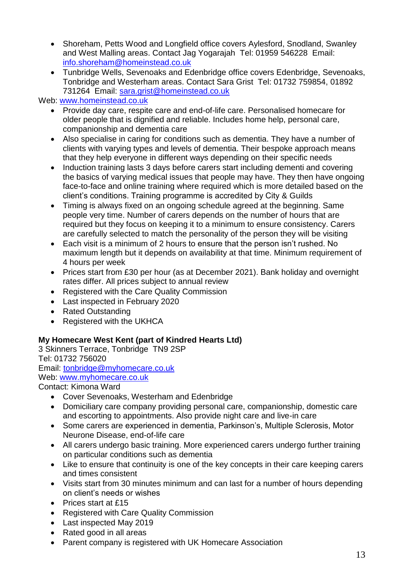- Shoreham, Petts Wood and Longfield office covers Aylesford, Snodland, Swanley and West Malling areas. Contact Jag Yogarajah Tel: 01959 546228 Email: [info.shoreham@homeinstead.co.uk](mailto:info.shoreham@homeinstead.co.uk)
- Tunbridge Wells, Sevenoaks and Edenbridge office covers Edenbridge, Sevenoaks, Tonbridge and Westerham areas. Contact Sara Grist Tel: 01732 759854, 01892 731264 Email: [sara.grist@homeinstead.co.uk](mailto:sara.grist@homeinstead.co.uk)

## Web: [www.homeinstead.co.uk](http://www.homeinstead.co.uk/)

- Provide day care, respite care and end-of-life care. Personalised homecare for older people that is dignified and reliable. Includes home help, personal care, companionship and dementia care
- Also specialise in caring for conditions such as dementia. They have a number of clients with varying types and levels of dementia. Their bespoke approach means that they help everyone in different ways depending on their specific needs
- Induction training lasts 3 days before carers start including dementi and covering the basics of varying medical issues that people may have. They then have ongoing face-to-face and online training where required which is more detailed based on the client's conditions. Training programme is accredited by City & Guilds
- Timing is always fixed on an ongoing schedule agreed at the beginning. Same people very time. Number of carers depends on the number of hours that are required but they focus on keeping it to a minimum to ensure consistency. Carers are carefully selected to match the personality of the person they will be visiting
- Each visit is a minimum of 2 hours to ensure that the person isn't rushed. No maximum length but it depends on availability at that time. Minimum requirement of 4 hours per week
- Prices start from £30 per hour (as at December 2021). Bank holiday and overnight rates differ. All prices subject to annual review
- Registered with the Care Quality Commission
- Last inspected in February 2020
- Rated Outstanding
- Registered with the UKHCA

# **My Homecare West Kent (part of Kindred Hearts Ltd)**

3 Skinners Terrace, Tonbridge TN9 2SP Tel: 01732 756020 Email: [tonbridge@myhomecare.co.uk](mailto:tonbridge@myhomecare.co.uk) Web: [www.myhomecare.co.uk](http://www.myhomecare.co.uk/) Contact: Kimona Ward

- Cover Sevenoaks, Westerham and Edenbridge
- Domiciliary care company providing personal care, companionship, domestic care and escorting to appointments. Also provide night care and live-in care
- Some carers are experienced in dementia, Parkinson's, Multiple Sclerosis, Motor Neurone Disease, end-of-life care
- All carers undergo basic training. More experienced carers undergo further training on particular conditions such as dementia
- Like to ensure that continuity is one of the key concepts in their care keeping carers and times consistent
- Visits start from 30 minutes minimum and can last for a number of hours depending on client's needs or wishes
- Prices start at £15
- Registered with Care Quality Commission
- Last inspected May 2019
- Rated good in all areas
- Parent company is registered with UK Homecare Association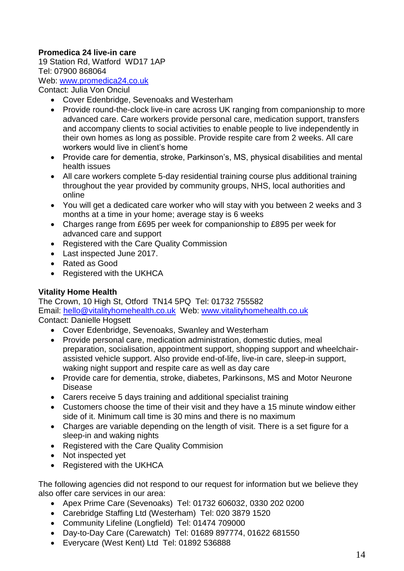## **Promedica 24 live-in care**

19 Station Rd, Watford WD17 1AP Tel: 07900 868064 Web: [www.promedica24.co.uk](http://www.promedica24.co.uk/) Contact: Julia Von Onciul

- Cover Edenbridge, Sevenoaks and Westerham
- Provide round-the-clock live-in care across UK ranging from companionship to more advanced care. Care workers provide personal care, medication support, transfers and accompany clients to social activities to enable people to live independently in their own homes as long as possible. Provide respite care from 2 weeks. All care workers would live in client's home
- Provide care for dementia, stroke, Parkinson's, MS, physical disabilities and mental health issues
- All care workers complete 5-day residential training course plus additional training throughout the year provided by community groups, NHS, local authorities and online
- You will get a dedicated care worker who will stay with you between 2 weeks and 3 months at a time in your home; average stay is 6 weeks
- Charges range from £695 per week for companionship to £895 per week for advanced care and support
- Registered with the Care Quality Commission
- Last inspected June 2017.
- Rated as Good
- Registered with the UKHCA

#### **Vitality Home Health**

The Crown, 10 High St, Otford TN14 5PQ Tel: 01732 755582 Email: [hello@vitalityhomehealth.co.uk](mailto:hello@vitalityhomehealth.co.uk) Web: [www.vitalityhomehealth.co.uk](http://www.vitalityhomehealth.co.uk/) Contact: Danielle Hogsett

- Cover Edenbridge, Sevenoaks, Swanley and Westerham
- Provide personal care, medication administration, domestic duties, meal preparation, socialisation, appointment support, shopping support and wheelchairassisted vehicle support. Also provide end-of-life, live-in care, sleep-in support, waking night support and respite care as well as day care
- Provide care for dementia, stroke, diabetes, Parkinsons, MS and Motor Neurone Disease
- Carers receive 5 days training and additional specialist training
- Customers choose the time of their visit and they have a 15 minute window either side of it. Minimum call time is 30 mins and there is no maximum
- Charges are variable depending on the length of visit. There is a set figure for a sleep-in and waking nights
- Registered with the Care Quality Commision
- Not inspected yet
- Registered with the UKHCA

The following agencies did not respond to our request for information but we believe they also offer care services in our area:

- Apex Prime Care (Sevenoaks) Tel: 01732 606032, 0330 202 0200
- Carebridge Staffing Ltd (Westerham) Tel: 020 3879 1520
- Community Lifeline (Longfield) Tel: 01474 709000
- Day-to-Day Care (Carewatch) Tel: 01689 897774, 01622 681550
- Everycare (West Kent) Ltd Tel: 01892 536888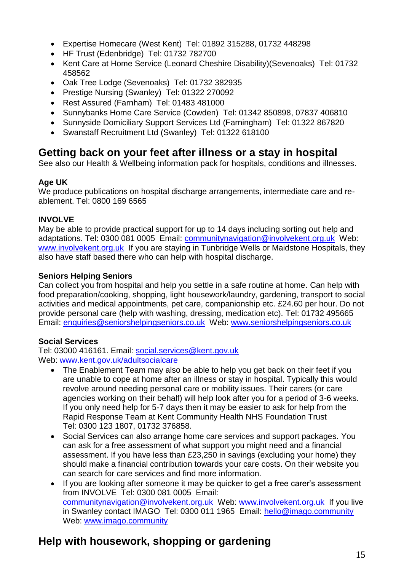- Expertise Homecare (West Kent) Tel: 01892 315288, 01732 448298
- HF Trust (Edenbridge) Tel: 01732 782700
- Kent Care at Home Service (Leonard Cheshire Disability)(Sevenoaks) Tel: 01732 458562
- Oak Tree Lodge (Sevenoaks) Tel: 01732 382935
- Prestige Nursing (Swanley) Tel: 01322 270092
- Rest Assured (Farnham) Tel: 01483 481000
- Sunnybanks Home Care Service (Cowden) Tel: 01342 850898, 07837 406810
- Sunnyside Domiciliary Support Services Ltd (Farningham) Tel: 01322 867820
- Swanstaff Recruitment Ltd (Swanley) Tel: 01322 618100

# <span id="page-14-0"></span>**Getting back on your feet after illness or a stay in hospital**

See also our Health & Wellbeing information pack for hospitals, conditions and illnesses.

# **Age UK**

We produce publications on hospital discharge arrangements, intermediate care and reablement. Tel: 0800 169 6565

# **INVOLVE**

May be able to provide practical support for up to 14 days including sorting out help and adaptations. Tel: 0300 081 0005 Email: [communitynavigation@involvekent.org.uk](mailto:communitynavigation@involvekent.org.uk) Web: [www.involvekent.org.uk](http://www.involvekent.org.uk/) If you are staying in Tunbridge Wells or Maidstone Hospitals, they also have staff based there who can help with hospital discharge.

# **Seniors Helping Seniors**

Can collect you from hospital and help you settle in a safe routine at home. Can help with food preparation/cooking, shopping, light housework/laundry, gardening, transport to social activities and medical appointments, pet care, companionship etc. £24.60 per hour. Do not provide personal care (help with washing, dressing, medication etc). Tel: 01732 495665 Email: enquiries@seniorshelpingseniors.co.uk Web: www.seniorshelpingseniors.co.uk

# **Social Services**

Tel: 03000 416161. Email: social.services@kent.gov.uk Web: www.kent.gov.uk/adultsocialcare

- The Enablement Team may also be able to help you get back on their feet if you are unable to cope at home after an illness or stay in hospital. Typically this would revolve around needing personal care or mobility issues. Their carers (or care agencies working on their behalf) will help look after you for a period of 3-6 weeks. If you only need help for 5-7 days then it may be easier to ask for help from the Rapid Response Team at Kent Community Health NHS Foundation Trust Tel: 0300 123 1807, 01732 376858.
- Social Services can also arrange home care services and support packages. You can ask for a free assessment of what support you might need and a financial assessment. If you have less than £23,250 in savings (excluding your home) they should make a financial contribution towards your care costs. On their website you can search for care services and find more information.
- If you are looking after someone it may be quicker to get a free carer's assessment from INVOLVE Tel: 0300 081 0005 Email: [communitynavigation@involvekent.org.uk](mailto:communitynavigation@involvekent.org.uk) Web: [www.involvekent.org.uk](http://www.involvekent.org.uk/) If you live in Swanley contact IMAGO Tel: 0300 011 1965 Email: [hello@imago.community](mailto:hello@imago.community)  Web: [www.imago.community](http://www.imago.community/)

# <span id="page-14-1"></span>**Help with housework, shopping or gardening**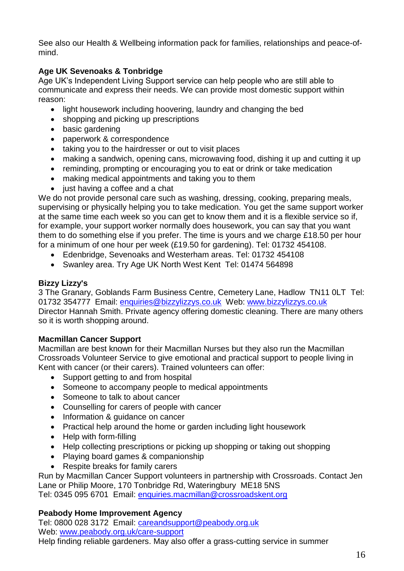See also our Health & Wellbeing information pack for families, relationships and peace-ofmind.

# **Age UK Sevenoaks & Tonbridge**

Age UK's Independent Living Support service can help people who are still able to communicate and express their needs. We can provide most domestic support within reason:

- light housework including hoovering, laundry and changing the bed
- shopping and picking up prescriptions
- basic gardening
- paperwork & correspondence
- taking you to the hairdresser or out to visit places
- making a sandwich, opening cans, microwaving food, dishing it up and cutting it up
- reminding, prompting or encouraging you to eat or drink or take medication
- making medical appointments and taking you to them
- just having a coffee and a chat

We do not provide personal care such as washing, dressing, cooking, preparing meals, supervising or physically helping you to take medication. You get the same support worker at the same time each week so you can get to know them and it is a flexible service so if, for example, your support worker normally does housework, you can say that you want them to do something else if you prefer. The time is yours and we charge £18.50 per hour for a minimum of one hour per week (£19.50 for gardening). Tel: 01732 454108.

- Edenbridge, Sevenoaks and Westerham areas. Tel: 01732 454108
- Swanley area. Try Age UK North West Kent Tel: 01474 564898

## **Bizzy Lizzy's**

3 The Granary, Goblands Farm Business Centre, Cemetery Lane, Hadlow TN11 0LT Tel: 01732 354777 Email: enquiries@bizzylizzys.co.uk Web: www.bizzylizzys.co.uk Director Hannah Smith. Private agency offering domestic cleaning. There are many others so it is worth shopping around.

# **Macmillan Cancer Support**

Macmillan are best known for their Macmillan Nurses but they also run the Macmillan Crossroads Volunteer Service to give emotional and practical support to people living in Kent with cancer (or their carers). Trained volunteers can offer:

- Support getting to and from hospital
- Someone to accompany people to medical appointments
- Someone to talk to about cancer
- Counselling for carers of people with cancer
- Information & guidance on cancer
- Practical help around the home or garden including light housework
- Help with form-filling
- Help collecting prescriptions or picking up shopping or taking out shopping
- Playing board games & companionship
- Respite breaks for family carers

Run by Macmillan Cancer Support volunteers in partnership with Crossroads. Contact Jen Lane or Philip Moore, 170 Tonbridge Rd, Wateringbury ME18 5NS Tel: 0345 095 6701 Email: enquiries.macmillan@crossroadskent.org

# **Peabody Home Improvement Agency**

Tel: 0800 028 3172 Email: careandsupport@peabody.org.uk Web: www.peabody.org.uk/care-support Help finding reliable gardeners. May also offer a grass-cutting service in summer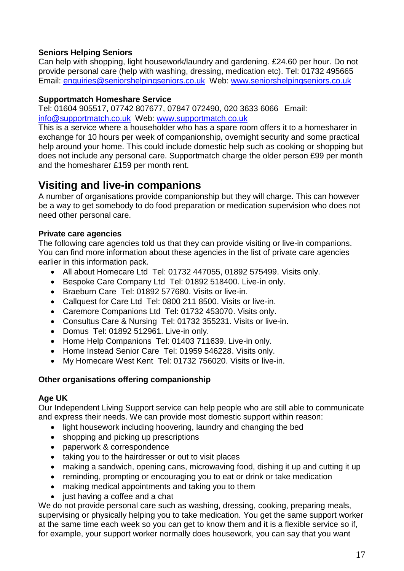## **Seniors Helping Seniors**

Can help with shopping, light housework/laundry and gardening. £24.60 per hour. Do not provide personal care (help with washing, dressing, medication etc). Tel: 01732 495665 Email: enquiries@seniorshelpingseniors.co.uk Web: www.seniorshelpingseniors.co.uk

#### **Supportmatch Homeshare Service**

Tel: 01604 905517, 07742 807677, 07847 072490, 020 3633 6066 Email: [info@supportmatch.co.uk](mailto:info@supportmatch.co.uk) Web: [www.supportmatch.co.uk](http://www.supportmatch.co.uk/)

This is a service where a householder who has a spare room offers it to a homesharer in exchange for 10 hours per week of companionship, overnight security and some practical help around your home. This could include domestic help such as cooking or shopping but does not include any personal care. Supportmatch charge the older person £99 per month and the homesharer £159 per month rent.

# <span id="page-16-0"></span>**Visiting and live-in companions**

A number of organisations provide companionship but they will charge. This can however be a way to get somebody to do food preparation or medication supervision who does not need other personal care.

#### **Private care agencies**

The following care agencies told us that they can provide visiting or live-in companions. You can find more information about these agencies in the list of private care agencies earlier in this information pack.

- All about Homecare Ltd Tel: 01732 447055, 01892 575499. Visits only.
- Bespoke Care Company Ltd Tel: 01892 518400. Live-in only.
- Braeburn Care Tel: 01892 577680. Visits or live-in.
- Callquest for Care Ltd Tel: 0800 211 8500. Visits or live-in.
- Caremore Companions Ltd Tel: 01732 453070. Visits only.
- Consultus Care & Nursing Tel: 01732 355231. Visits or live-in.
- Domus Tel: 01892 512961. Live-in only.
- Home Help Companions Tel: 01403 711639. Live-in only.
- Home Instead Senior Care Tel: 01959 546228. Visits only.
- My Homecare West Kent Tel: 01732 756020. Visits or live-in.

#### **Other organisations offering companionship**

#### **Age UK**

Our Independent Living Support service can help people who are still able to communicate and express their needs. We can provide most domestic support within reason:

- light housework including hoovering, laundry and changing the bed
- shopping and picking up prescriptions
- paperwork & correspondence
- taking you to the hairdresser or out to visit places
- making a sandwich, opening cans, microwaving food, dishing it up and cutting it up
- reminding, prompting or encouraging you to eat or drink or take medication
- making medical appointments and taking you to them
- just having a coffee and a chat

We do not provide personal care such as washing, dressing, cooking, preparing meals, supervising or physically helping you to take medication. You get the same support worker at the same time each week so you can get to know them and it is a flexible service so if, for example, your support worker normally does housework, you can say that you want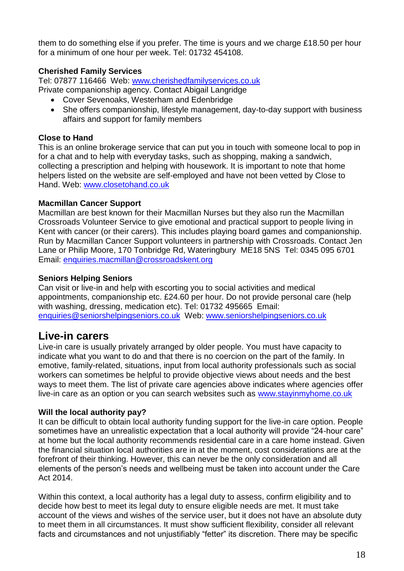them to do something else if you prefer. The time is yours and we charge £18.50 per hour for a minimum of one hour per week. Tel: 01732 454108.

## **Cherished Family Services**

Tel: 07877 116466 Web: [www.cherishedfamilyservices.co.uk](http://www.cherishedfamilyservices.co.uk/)

Private companionship agency. Contact Abigail Langridge

- Cover Sevenoaks, Westerham and Edenbridge
- She offers companionship, lifestyle management, day-to-day support with business affairs and support for family members

## **Close to Hand**

This is an online brokerage service that can put you in touch with someone local to pop in for a chat and to help with everyday tasks, such as shopping, making a sandwich, collecting a prescription and helping with housework. It is important to note that home helpers listed on the website are self-employed and have not been vetted by Close to Hand. Web: www.closetohand.co.uk

## **Macmillan Cancer Support**

Macmillan are best known for their Macmillan Nurses but they also run the Macmillan Crossroads Volunteer Service to give emotional and practical support to people living in Kent with cancer (or their carers). This includes playing board games and companionship. Run by Macmillan Cancer Support volunteers in partnership with Crossroads. Contact Jen Lane or Philip Moore, 170 Tonbridge Rd, Wateringbury ME18 5NS Tel: 0345 095 6701 Email: enquiries.macmillan@crossroadskent.org

## **Seniors Helping Seniors**

Can visit or live-in and help with escorting you to social activities and medical appointments, companionship etc. £24.60 per hour. Do not provide personal care (help with washing, dressing, medication etc). Tel: 01732 495665 Email: enquiries@seniorshelpingseniors.co.uk Web: www.seniorshelpingseniors.co.uk

# <span id="page-17-0"></span>**Live-in carers**

Live-in care is usually privately arranged by older people. You must have capacity to indicate what you want to do and that there is no coercion on the part of the family. In emotive, family-related, situations, input from local authority professionals such as social workers can sometimes be helpful to provide objective views about needs and the best ways to meet them. The list of private care agencies above indicates where agencies offer live-in care as an option or you can search websites such as [www.stayinmyhome.co.uk](http://www.stayinmyhome.co.uk/)

#### **Will the local authority pay?**

It can be difficult to obtain local authority funding support for the live-in care option. People sometimes have an unrealistic expectation that a local authority will provide "24-hour care" at home but the local authority recommends residential care in a care home instead. Given the financial situation local authorities are in at the moment, cost considerations are at the forefront of their thinking. However, this can never be the only consideration and all elements of the person's needs and wellbeing must be taken into account under the Care Act 2014.

Within this context, a local authority has a legal duty to assess, confirm eligibility and to decide how best to meet its legal duty to ensure eligible needs are met. It must take account of the views and wishes of the service user, but it does not have an absolute duty to meet them in all circumstances. It must show sufficient flexibility, consider all relevant facts and circumstances and not unjustifiably "fetter" its discretion. There may be specific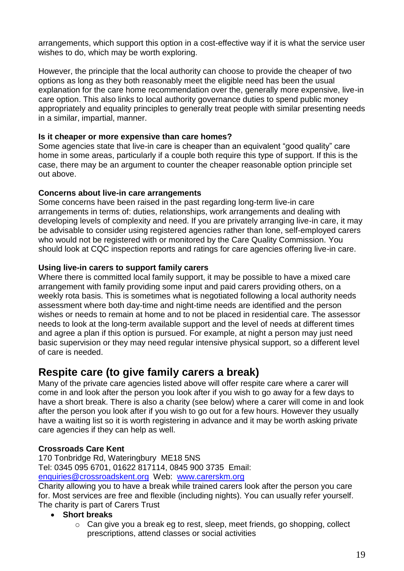arrangements, which support this option in a cost-effective way if it is what the service user wishes to do, which may be worth exploring.

However, the principle that the local authority can choose to provide the cheaper of two options as long as they both reasonably meet the eligible need has been the usual explanation for the care home recommendation over the, generally more expensive, live-in care option. This also links to local authority governance duties to spend public money appropriately and equality principles to generally treat people with similar presenting needs in a similar, impartial, manner.

#### **Is it cheaper or more expensive than care homes?**

Some agencies state that live-in care is cheaper than an equivalent "good quality" care home in some areas, particularly if a couple both require this type of support. If this is the case, there may be an argument to counter the cheaper reasonable option principle set out above.

## **Concerns about live-in care arrangements**

Some concerns have been raised in the past regarding long-term live-in care arrangements in terms of: duties, relationships, work arrangements and dealing with developing levels of complexity and need. If you are privately arranging live-in care, it may be advisable to consider using registered agencies rather than lone, self-employed carers who would not be registered with or monitored by the Care Quality Commission. You should look at CQC inspection reports and ratings for care agencies offering live-in care.

# **Using live-in carers to support family carers**

Where there is committed local family support, it may be possible to have a mixed care arrangement with family providing some input and paid carers providing others, on a weekly rota basis. This is sometimes what is negotiated following a local authority needs assessment where both day-time and night-time needs are identified and the person wishes or needs to remain at home and to not be placed in residential care. The assessor needs to look at the long-term available support and the level of needs at different times and agree a plan if this option is pursued. For example, at night a person may just need basic supervision or they may need regular intensive physical support, so a different level of care is needed.

# <span id="page-18-0"></span>**Respite care (to give family carers a break)**

Many of the private care agencies listed above will offer respite care where a carer will come in and look after the person you look after if you wish to go away for a few days to have a short break. There is also a charity (see below) where a carer will come in and look after the person you look after if you wish to go out for a few hours. However they usually have a waiting list so it is worth registering in advance and it may be worth asking private care agencies if they can help as well.

# **Crossroads Care Kent**

170 Tonbridge Rd, Wateringbury ME18 5NS Tel: 0345 095 6701, 01622 817114, 0845 900 3735 Email: [enquiries@crossroadskent.org](mailto:enquiries@crossroadswest.org) Web: www.carerskm.org

Charity allowing you to have a break while trained carers look after the person you care for. Most services are free and flexible (including nights). You can usually refer yourself. The charity is part of Carers Trust

- **Short breaks**
	- o Can give you a break eg to rest, sleep, meet friends, go shopping, collect prescriptions, attend classes or social activities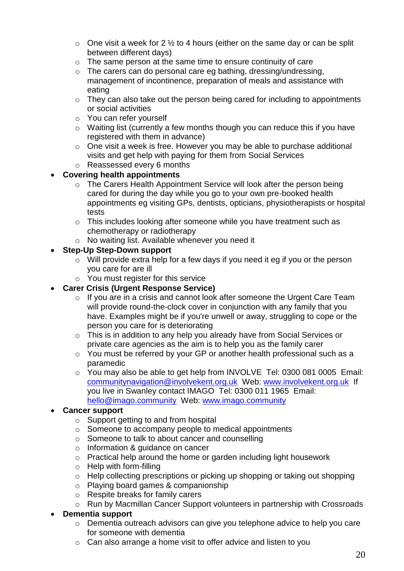- $\circ$  One visit a week for 2  $\frac{1}{2}$  to 4 hours (either on the same day or can be split between different days)
- o The same person at the same time to ensure continuity of care
- o The carers can do personal care eg bathing, dressing/undressing, management of incontinence, preparation of meals and assistance with eating
- o They can also take out the person being cared for including to appointments or social activities
- o You can refer yourself
- o Waiting list (currently a few months though you can reduce this if you have registered with them in advance)
- o One visit a week is free. However you may be able to purchase additional visits and get help with paying for them from Social Services
- o Reassessed every 6 months

## **Covering health appointments**

- o The Carers Health Appointment Service will look after the person being cared for during the day while you go to your own pre-booked health appointments eg visiting GPs, dentists, opticians, physiotherapists or hospital tests
- o This includes looking after someone while you have treatment such as chemotherapy or radiotherapy
- o No waiting list. Available whenever you need it

## **Step-Up Step-Down support**

- o Will provide extra help for a few days if you need it eg if you or the person you care for are ill
- o You must register for this service
- **Carer Crisis (Urgent Response Service)**
	- o If you are in a crisis and cannot look after someone the Urgent Care Team will provide round-the-clock cover in conjunction with any family that you have. Examples might be if you're unwell or away, struggling to cope or the person you care for is deteriorating
	- o This is in addition to any help you already have from Social Services or private care agencies as the aim is to help you as the family carer
	- o You must be referred by your GP or another health professional such as a paramedic
	- o You may also be able to get help from INVOLVE Tel: 0300 081 0005 Email: [communitynavigation@involvekent.org.uk](mailto:communitynavigation@involvekent.org.uk) Web: [www.involvekent.org.uk](http://www.involvekent.org.uk/) If you live in Swanley contact IMAGO Tel: 0300 011 1965 Email: [hello@imago.community](mailto:hello@imago.community) Web: [www.imago.community](http://www.imago.community/)

#### **Cancer support**

- o Support getting to and from hospital
- o Someone to accompany people to medical appointments
- o Someone to talk to about cancer and counselling
- o Information & guidance on cancer
- o Practical help around the home or garden including light housework
- o Help with form-filling
- o Help collecting prescriptions or picking up shopping or taking out shopping
- o Playing board games & companionship
- o Respite breaks for family carers
- o Run by Macmillan Cancer Support volunteers in partnership with Crossroads

#### **Dementia support**

- o Dementia outreach advisors can give you telephone advice to help you care for someone with dementia
- o Can also arrange a home visit to offer advice and listen to you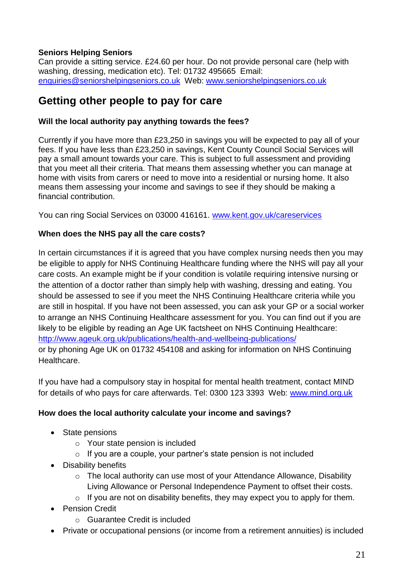# **Seniors Helping Seniors**

Can provide a sitting service. £24.60 per hour. Do not provide personal care (help with washing, dressing, medication etc). Tel: 01732 495665 Email: enquiries@seniorshelpingseniors.co.uk Web: www.seniorshelpingseniors.co.uk

# <span id="page-20-0"></span>**Getting other people to pay for care**

#### <span id="page-20-1"></span>**Will the local authority pay anything towards the fees?**

Currently if you have more than £23,250 in savings you will be expected to pay all of your fees. If you have less than £23,250 in savings, Kent County Council Social Services will pay a small amount towards your care. This is subject to full assessment and providing that you meet all their criteria. That means them assessing whether you can manage at home with visits from carers or need to move into a residential or nursing home. It also means them assessing your income and savings to see if they should be making a financial contribution.

You can ring Social Services on 03000 416161. [www.kent.gov.uk/careservices](http://www.kent.gov.uk/careservices)

#### <span id="page-20-2"></span>**When does the NHS pay all the care costs?**

In certain circumstances if it is agreed that you have complex nursing needs then you may be eligible to apply for NHS Continuing Healthcare funding where the NHS will pay all your care costs. An example might be if your condition is volatile requiring intensive nursing or the attention of a doctor rather than simply help with washing, dressing and eating. You should be assessed to see if you meet the NHS Continuing Healthcare criteria while you are still in hospital. If you have not been assessed, you can ask your GP or a social worker to arrange an NHS Continuing Healthcare assessment for you. You can find out if you are likely to be eligible by reading an Age UK factsheet on NHS Continuing Healthcare: <http://www.ageuk.org.uk/publications/health-and-wellbeing-publications/> or by phoning Age UK on 01732 454108 and asking for information on NHS Continuing Healthcare.

If you have had a compulsory stay in hospital for mental health treatment, contact MIND for details of who pays for care afterwards. Tel: 0300 123 3393 Web: www.mind.org.uk

#### <span id="page-20-3"></span>**How does the local authority calculate your income and savings?**

- State pensions
	- o Your state pension is included
	- o If you are a couple, your partner's state pension is not included
- Disability benefits
	- o The local authority can use most of your Attendance Allowance, Disability Living Allowance or Personal Independence Payment to offset their costs.
	- $\circ$  If you are not on disability benefits, they may expect you to apply for them.
- Pension Credit
	- o Guarantee Credit is included
- Private or occupational pensions (or income from a retirement annuities) is included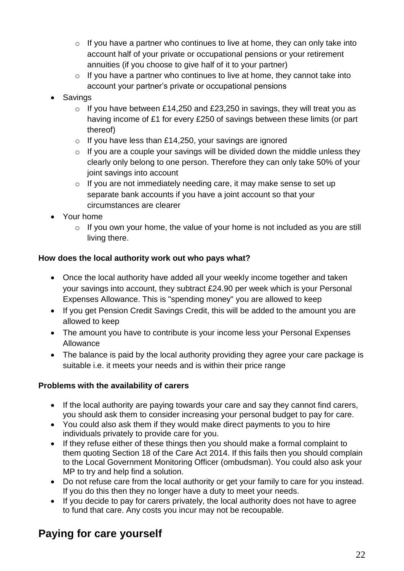- $\circ$  If you have a partner who continues to live at home, they can only take into account half of your private or occupational pensions or your retirement annuities (if you choose to give half of it to your partner)
- $\circ$  If you have a partner who continues to live at home, they cannot take into account your partner's private or occupational pensions
- Savings
	- $\circ$  If you have between £14,250 and £23,250 in savings, they will treat you as having income of £1 for every £250 of savings between these limits (or part thereof)
	- $\circ$  If you have less than £14,250, your savings are ignored
	- $\circ$  If you are a couple your savings will be divided down the middle unless they clearly only belong to one person. Therefore they can only take 50% of your joint savings into account
	- o If you are not immediately needing care, it may make sense to set up separate bank accounts if you have a joint account so that your circumstances are clearer
- Your home
	- $\circ$  If you own your home, the value of your home is not included as you are still living there.

## <span id="page-21-0"></span>**How does the local authority work out who pays what?**

- Once the local authority have added all your weekly income together and taken your savings into account, they subtract £24.90 per week which is your Personal Expenses Allowance. This is "spending money" you are allowed to keep
- If you get Pension Credit Savings Credit, this will be added to the amount you are allowed to keep
- The amount you have to contribute is your income less your Personal Expenses Allowance
- The balance is paid by the local authority providing they agree your care package is suitable i.e. it meets your needs and is within their price range

# <span id="page-21-1"></span>**Problems with the availability of carers**

- If the local authority are paying towards your care and say they cannot find carers, you should ask them to consider increasing your personal budget to pay for care.
- You could also ask them if they would make direct payments to you to hire individuals privately to provide care for you.
- If they refuse either of these things then you should make a formal complaint to them quoting Section 18 of the Care Act 2014. If this fails then you should complain to the Local Government Monitoring Officer (ombudsman). You could also ask your MP to try and help find a solution.
- Do not refuse care from the local authority or get your family to care for you instead. If you do this then they no longer have a duty to meet your needs.
- If you decide to pay for carers privately, the local authority does not have to agree to fund that care. Any costs you incur may not be recoupable.

# <span id="page-21-2"></span>**Paying for care yourself**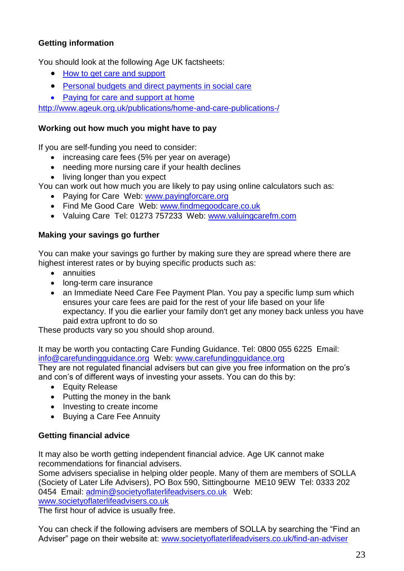# <span id="page-22-0"></span>**Getting information**

You should look at the following Age UK factsheets:

- [How to get care and support](file:///C:/Users/bob.carpenter/AppData/Local/Microsoft/Windows/Temporary%20Internet%20Files/Content.Outlook/AppData/Local/Temp/Temp1_lists.zip/How%20to%20get%20care%20and%20support)
- [Personal budgets and direct payments in social care](file:///C:/Users/bob.carpenter/AppData/Local/Microsoft/Windows/Temporary%20Internet%20Files/Content.Outlook/AppData/Local/Temp/Temp1_lists.zip/Personal%20budgets%20and%20direct%20payments%20in%20social%20care)
- [Paying for care and support at home](file:///C:/Users/bob.carpenter/AppData/Local/Microsoft/Windows/Temporary%20Internet%20Files/Content.Outlook/AppData/Local/Temp/Temp1_lists.zip/Paying%20for%20care%20and%20support%20at%20home)

<http://www.ageuk.org.uk/publications/home-and-care-publications-/>

#### <span id="page-22-1"></span>**Working out how much you might have to pay**

If you are self-funding you need to consider:

- increasing care fees (5% per year on average)
- needing more nursing care if your health declines
- living longer than you expect

You can work out how much you are likely to pay using online calculators such as:

- Paying for Care Web: www.payingforcare.org
- Find Me Good Care Web: www.findmegoodcare.co.uk
- Valuing Care Tel: 01273 757233 Web: www.valuingcarefm.com

## <span id="page-22-2"></span>**Making your savings go further**

You can make your savings go further by making sure they are spread where there are highest interest rates or by buying specific products such as:

- **•** annuities
- long-term care insurance
- an Immediate Need Care Fee Payment Plan. You pay a specific lump sum which ensures your care fees are paid for the rest of your life based on your life expectancy. If you die earlier your family don't get any money back unless you have paid extra upfront to do so

These products vary so you should shop around.

It may be worth you contacting Care Funding Guidance. Tel: 0800 055 6225 Email: [info@carefundingguidance.org](mailto:info@carefundingguidance.org) Web: [www.carefundingguidance.org](http://www.carefundingguidance.org/)

They are not regulated financial advisers but can give you free information on the pro's and con's of different ways of investing your assets. You can do this by:

- Equity Release
- Putting the money in the bank
- Investing to create income
- Buying a Care Fee Annuity

# <span id="page-22-3"></span>**Getting financial advice**

It may also be worth getting independent financial advice. Age UK cannot make recommendations for financial advisers.

Some advisers specialise in helping older people. Many of them are members of SOLLA (Society of Later Life Advisers), PO Box 590, Sittingbourne ME10 9EW Tel: 0333 202 0454 Email: [admin@societyoflaterlifeadvisers.co.uk](mailto:admin@societyoflaterlifeadvisers.co.uk) Web: [www.societyoflaterlifeadvisers.co.uk](http://www.societyoflaterlifeadvisers.co.uk/)

The first hour of advice is usually free.

You can check if the following advisers are members of SOLLA by searching the "Find an Adviser" page on their website at: [www.societyoflaterlifeadvisers.co.uk/find-an-adviser](http://www.societyoflaterlifeadvisers.co.uk/find-an-adviser)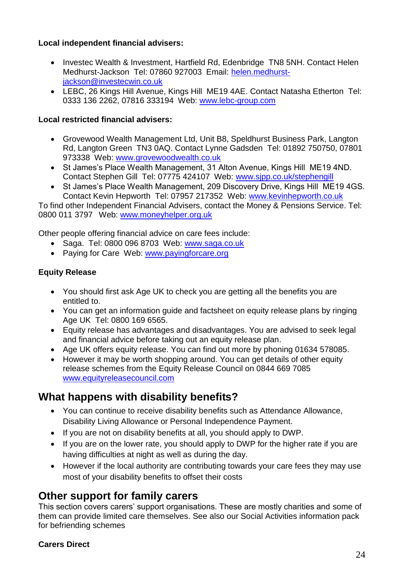#### <span id="page-23-0"></span>**Local independent financial advisers:**

- Investec Wealth & Investment, Hartfield Rd, Edenbridge TN8 5NH. Contact Helen Medhurst-Jackson Tel: 07860 927003 Email: [helen.medhurst](mailto:helen.medhurst-jackson@investecwin.co.uk)[jackson@investecwin.co.uk](mailto:helen.medhurst-jackson@investecwin.co.uk)
- LEBC, 26 Kings Hill Avenue, Kings Hill ME19 4AE. Contact Natasha Etherton Tel: 0333 136 2262, 07816 333194 Web: [www.lebc-group.com](http://www.lebc-group.com/)

#### <span id="page-23-1"></span>**Local restricted financial advisers:**

- Grovewood Wealth Management Ltd, Unit B8, Speldhurst Business Park, Langton Rd, Langton Green TN3 0AQ. Contact Lynne Gadsden Tel: 01892 750750, 07801 973338 Web: [www.grovewoodwealth.co.uk](http://www.grovewoodwealth.co.uk/)
- St James's Place Wealth Management, 31 Alton Avenue, Kings Hill ME19 4ND. Contact Stephen Gill Tel: 07775 424107 Web: [www.sjpp.co.uk/stephengill](http://www.sjpp.co.uk/stephengill)
- St James's Place Wealth Management, 209 Discovery Drive, Kings Hill ME19 4GS. Contact Kevin Hepworth Tel: 07957 217352 Web: [www.kevinhepworth.co.uk](http://www.kevinhepworth.co.uk/)

To find other Independent Financial Advisers, contact the Money & Pensions Service. Tel: 0800 011 3797 Web: [www.moneyhelper.org.uk](http://www.moneyhelper.org.uk/)

Other people offering financial advice on care fees include:

- Saga. Tel: 0800 096 8703 Web: www.saga.co.uk
- Paying for Care Web: [www.payingforcare.org](http://www.payingforcare.org/)

# <span id="page-23-2"></span>**Equity Release**

- You should first ask Age UK to check you are getting all the benefits you are entitled to.
- You can get an information guide and factsheet on equity release plans by ringing Age UK Tel: 0800 169 6565.
- Equity release has advantages and disadvantages. You are advised to seek legal and financial advice before taking out an equity release plan.
- Age UK offers equity release. You can find out more by phoning 01634 578085.
- However it may be worth shopping around. You can get details of other equity release schemes from the Equity Release Council on 0844 669 7085 [www.equityreleasecouncil.com](http://www.equityreleasecouncil.com/)

# <span id="page-23-3"></span>**What happens with disability benefits?**

- You can continue to receive disability benefits such as Attendance Allowance, Disability Living Allowance or Personal Independence Payment.
- If you are not on disability benefits at all, you should apply to DWP.
- If you are on the lower rate, you should apply to DWP for the higher rate if you are having difficulties at night as well as during the day.
- However if the local authority are contributing towards your care fees they may use most of your disability benefits to offset their costs

# <span id="page-23-4"></span>**Other support for family carers**

This section covers carers' support organisations. These are mostly charities and some of them can provide limited care themselves. See also our Social Activities information pack for befriending schemes

#### **Carers Direct**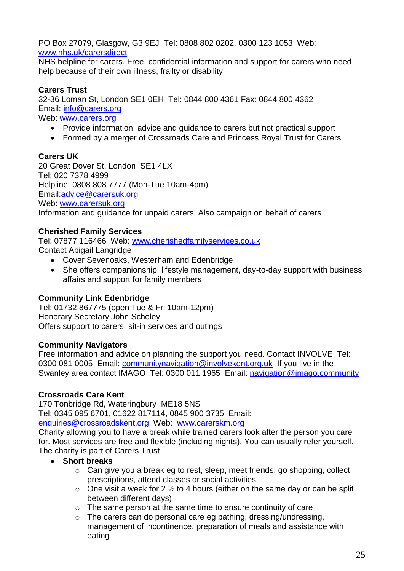PO Box 27079, Glasgow, G3 9EJ Tel: 0808 802 0202, 0300 123 1053 Web: [www.nhs.uk/carersdirect](http://www.nhs.uk/carersdirect)

NHS helpline for carers. Free, confidential information and support for carers who need help because of their own illness, frailty or disability

# **Carers Trust**

32-36 Loman St, London SE1 0EH Tel: 0844 800 4361 Fax: 0844 800 4362 Email: [info@carers.org](mailto:info@carers.org)

Web: [www.carers.org](http://www.carers.org/)

- Provide information, advice and guidance to carers but not practical support
- Formed by a merger of Crossroads Care and Princess Royal Trust for Carers

#### **Carers UK**

20 Great Dover St, London SE1 4LX Tel: 020 7378 4999 Helpline: 0808 808 7777 (Mon-Tue 10am-4pm) Email:advice@carersuk.org Web: [www.carersuk.org](http://www.carersuk.org/) Information and guidance for unpaid carers. Also campaign on behalf of carers

#### **Cherished Family Services**

Tel: 07877 116466 Web: [www.cherishedfamilyservices.co.uk](http://www.cherishedfamilyservices.co.uk/) Contact Abigail Langridge

- Cover Sevenoaks, Westerham and Edenbridge
- She offers companionship, lifestyle management, day-to-day support with business affairs and support for family members

#### **Community Link Edenbridge**

Tel: 01732 867775 (open Tue & Fri 10am-12pm) Honorary Secretary John Scholey Offers support to carers, sit-in services and outings

#### **Community Navigators**

Free information and advice on planning the support you need. Contact INVOLVE Tel: 0300 081 0005 Email: communitynavigation@involvekent.org.uk If you live in the Swanley area contact IMAGO Tel: 0300 011 1965 Email: navigation@imago.community

#### **Crossroads Care Kent**

170 Tonbridge Rd, Wateringbury ME18 5NS

Tel: 0345 095 6701, 01622 817114, 0845 900 3735 Email:

[enquiries@crossroadskent.org](mailto:enquiries@crossroadswest.org) Web: www.carerskm.org

Charity allowing you to have a break while trained carers look after the person you care for. Most services are free and flexible (including nights). You can usually refer yourself. The charity is part of Carers Trust

#### **Short breaks**

- o Can give you a break eg to rest, sleep, meet friends, go shopping, collect prescriptions, attend classes or social activities
- $\circ$  One visit a week for 2  $\frac{1}{2}$  to 4 hours (either on the same day or can be split between different days)
- o The same person at the same time to ensure continuity of care
- o The carers can do personal care eg bathing, dressing/undressing, management of incontinence, preparation of meals and assistance with eating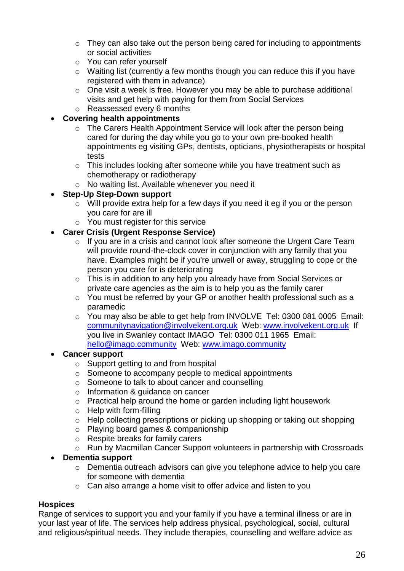- $\circ$  They can also take out the person being cared for including to appointments or social activities
- o You can refer yourself
- o Waiting list (currently a few months though you can reduce this if you have registered with them in advance)
- o One visit a week is free. However you may be able to purchase additional visits and get help with paying for them from Social Services
- o Reassessed every 6 months

#### **Covering health appointments**

- o The Carers Health Appointment Service will look after the person being cared for during the day while you go to your own pre-booked health appointments eg visiting GPs, dentists, opticians, physiotherapists or hospital tests
- o This includes looking after someone while you have treatment such as chemotherapy or radiotherapy
- o No waiting list. Available whenever you need it
- **Step-Up Step-Down support**
	- o Will provide extra help for a few days if you need it eg if you or the person you care for are ill
	- o You must register for this service
- **Carer Crisis (Urgent Response Service)**
	- o If you are in a crisis and cannot look after someone the Urgent Care Team will provide round-the-clock cover in conjunction with any family that you have. Examples might be if you're unwell or away, struggling to cope or the person you care for is deteriorating
	- o This is in addition to any help you already have from Social Services or private care agencies as the aim is to help you as the family carer
	- o You must be referred by your GP or another health professional such as a paramedic
	- o You may also be able to get help from INVOLVE Tel: 0300 081 0005 Email: [communitynavigation@involvekent.org.uk](mailto:communitynavigation@involvekent.org.uk) Web: [www.involvekent.org.uk](http://www.involvekent.org.uk/) If you live in Swanley contact IMAGO Tel: 0300 011 1965 Email: [hello@imago.community](mailto:hello@imago.community) Web: [www.imago.community](http://www.imago.community/)

#### **Cancer support**

- o Support getting to and from hospital
- o Someone to accompany people to medical appointments
- o Someone to talk to about cancer and counselling
- o Information & guidance on cancer
- o Practical help around the home or garden including light housework
- o Help with form-filling
- o Help collecting prescriptions or picking up shopping or taking out shopping
- o Playing board games & companionship
- o Respite breaks for family carers
- o Run by Macmillan Cancer Support volunteers in partnership with Crossroads

#### **Dementia support**

- o Dementia outreach advisors can give you telephone advice to help you care for someone with dementia
- o Can also arrange a home visit to offer advice and listen to you

#### **Hospices**

Range of services to support you and your family if you have a terminal illness or are in your last year of life. The services help address physical, psychological, social, cultural and religious/spiritual needs. They include therapies, counselling and welfare advice as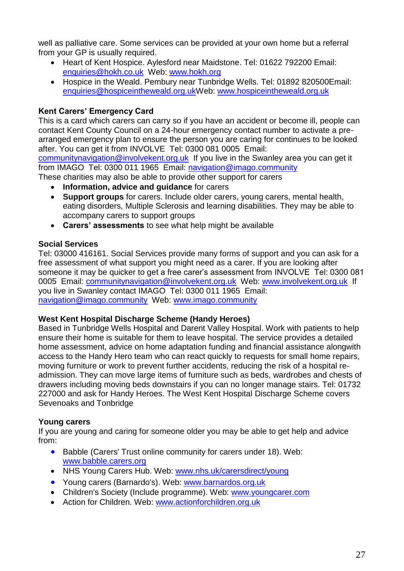well as palliative care. Some services can be provided at your own home but a referral from your GP is usually required.

- Heart of Kent Hospice. Aylesford near Maidstone. Tel: 01622 792200 Email: [enquiries@hokh.co.uk](mailto:enquiries@hokh.co.uk) Web: www.hokh.org
- Hospice in the Weald. Pembury near Tunbridge Wells. Tel: 01892 820500Email: [enquiries@hospiceintheweald.org.ukW](mailto:enquiries@hospiceintheweald.org.uk)eb: [www.hospiceintheweald.org.uk](http://www.hospiceintheweald.org.uk/)

# **Kent Carers' Emergency Card**

This is a card which carers can carry so if you have an accident or become ill, people can contact Kent County Council on a 24-hour emergency contact number to activate a prearranged emergency plan to ensure the person you are caring for continues to be looked after. You can get it from INVOLVE Tel: 0300 081 0005 Email:

communitynavigation@involvekent.org.uk If you live in the Swanley area you can get it from IMAGO Tel: 0300 011 1965 Email: navigation@imago.community

These charities may also be able to provide other support for carers

- **Information, advice and guidance** for carers
- **Support groups** for carers. Include older carers, young carers, mental health, eating disorders, Multiple Sclerosis and learning disabilities. They may be able to accompany carers to support groups
- **Carers' assessments** to see what help might be available

## **Social Services**

Tel: 03000 416161. Social Services provide many forms of support and you can ask for a free assessment of what support you might need as a carer. If you are looking after someone it may be quicker to get a free carer's assessment from INVOLVE Tel: 0300 081 0005 Email: [communitynavigation@involvekent.org.uk](mailto:communitynavigation@involvekent.org.uk) Web: [www.involvekent.org.uk](http://www.involvekent.org.uk/) If you live in Swanley contact IMAGO Tel: 0300 011 1965 Email: [navigation@imago.community](mailto:navigation@imago.community) Web: [www.imago.community](http://www.imago.community/)

#### **West Kent Hospital Discharge Scheme (Handy Heroes)**

Based in Tunbridge Wells Hospital and Darent Valley Hospital. Work with patients to help ensure their home is suitable for them to leave hospital. The service provides a detailed home assessment, advice on home adaptation funding and financial assistance alongwith access to the Handy Hero team who can react quickly to requests for small home repairs, moving furniture or work to prevent further accidents, reducing the risk of a hospital readmission. They can move large items of furniture such as beds, wardrobes and chests of drawers including moving beds downstairs if you can no longer manage stairs. Tel: 01732 227000 and ask for Handy Heroes. The West Kent Hospital Discharge Scheme covers Sevenoaks and Tonbridge

# **Young carers**

If you are young and caring for someone older you may be able to get help and advice from:

- Babble (Carers' Trust online community for carers under 18). Web: www.babble.carers.org
- NHS Young Carers Hub. Web: www.nhs.uk/carersdirect/young
- Young carers (Barnardo's). Web: www.barnardos.org.uk
- Children's Society (Include programme). Web: www.youngcarer.com
- Action for Children. Web: www.actionforchildren.org.uk